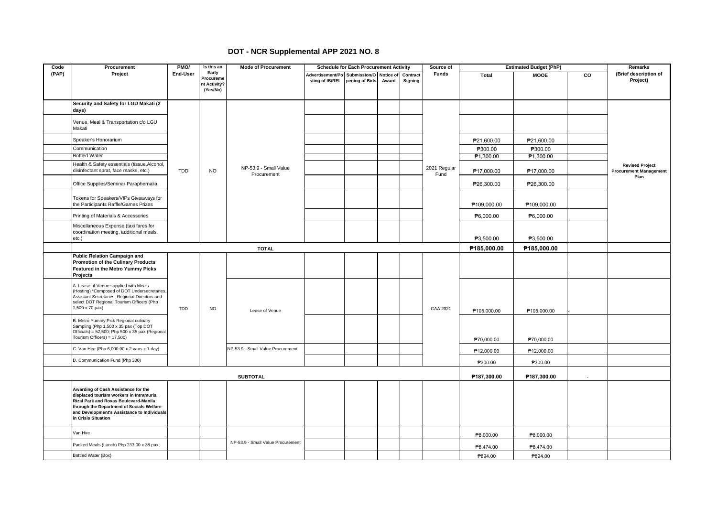## **DOT - NCR Supplemental APP 2021 NO. 8**

| Code  | Procurement                                                                                                                                                                                                                                        | PMO/       | Is this an                         | <b>Mode of Procurement</b>           |                                                            | <b>Schedule for Each Procurement Activity</b> |       |                     | Source of            |                       | <b>Estimated Budget (PhP)</b> |                | <b>Remarks</b>                                          |  |
|-------|----------------------------------------------------------------------------------------------------------------------------------------------------------------------------------------------------------------------------------------------------|------------|------------------------------------|--------------------------------------|------------------------------------------------------------|-----------------------------------------------|-------|---------------------|----------------------|-----------------------|-------------------------------|----------------|---------------------------------------------------------|--|
| (PAP) | Project                                                                                                                                                                                                                                            | End-User   | Early<br>Procureme<br>nt Activity? |                                      | Advertisement/Po Submission/O Notice of<br>sting of IB/REI | pening of Bids                                | Award | Contract<br>Signing | <b>Funds</b>         | Total                 | <b>MOOE</b>                   | $\overline{c}$ | (Brief description of<br>Project)                       |  |
|       |                                                                                                                                                                                                                                                    |            | (Yes/No)                           |                                      |                                                            |                                               |       |                     |                      |                       |                               |                |                                                         |  |
|       | Security and Safety for LGU Makati (2<br>days)                                                                                                                                                                                                     |            |                                    |                                      |                                                            |                                               |       |                     |                      |                       |                               |                |                                                         |  |
|       | Venue, Meal & Transportation c/o LGU<br>Makati                                                                                                                                                                                                     |            |                                    |                                      |                                                            |                                               |       |                     |                      |                       |                               |                |                                                         |  |
|       | Speaker's Honorarium                                                                                                                                                                                                                               |            |                                    |                                      |                                                            |                                               |       |                     |                      | P21,600.00            | ₱21,600.00                    |                |                                                         |  |
|       | Communication                                                                                                                                                                                                                                      |            |                                    |                                      |                                                            |                                               |       |                     |                      | ₱300.00               | P300.00                       |                |                                                         |  |
|       | <b>Bottled Water</b>                                                                                                                                                                                                                               |            |                                    |                                      |                                                            |                                               |       |                     |                      | P <sub>1,300.00</sub> | <b>₱1,300.00</b>              |                |                                                         |  |
|       | Health & Safety essentials (tissue, Alcohol,<br>disinfectant sprat, face masks, etc.)                                                                                                                                                              | <b>TDD</b> | <b>NO</b>                          | NP-53.9 - Small Value<br>Procurement |                                                            |                                               |       |                     | 2021 Regular<br>Fund | ₱17,000.00            | ₱17,000.00                    |                | <b>Revised Project</b><br><b>Procurement Management</b> |  |
|       | Office Supplies/Seminar Paraphernalia                                                                                                                                                                                                              |            |                                    |                                      |                                                            |                                               |       |                     |                      | ₱26,300.00            | ₱26,300.00                    |                | Plan                                                    |  |
|       | Tokens for Speakers/VIPs Giveaways for<br>the Participants Raffle/Games Prizes                                                                                                                                                                     |            |                                    |                                      |                                                            |                                               |       |                     |                      | ₱109,000.00           | ₱109,000.00                   |                |                                                         |  |
|       | Printing of Materials & Accessories                                                                                                                                                                                                                |            |                                    |                                      |                                                            |                                               |       |                     |                      | P6,000.00             | P6,000.00                     |                |                                                         |  |
|       | Miscellaneous Expense (taxi fares for<br>coordination meeting, additional meals,<br>etc.)                                                                                                                                                          |            |                                    |                                      |                                                            |                                               |       |                     |                      | ₱3,500.00             | ₱3,500.00                     |                |                                                         |  |
|       |                                                                                                                                                                                                                                                    |            |                                    | <b>TOTAL</b>                         |                                                            |                                               |       |                     |                      | P185,000.00           | P185,000.00                   |                |                                                         |  |
|       | <b>Public Relation Campaign and</b><br><b>Promotion of the Culinary Products</b><br>Featured in the Metro Yummy Picks<br>Projects                                                                                                                  |            |                                    |                                      |                                                            |                                               |       |                     |                      |                       |                               |                |                                                         |  |
|       | A. Lease of Venue supplied with Meals<br>(Hosting) *Composed of DOT Undersecretaries,<br>Assistant Secretaries, Regional Directors and<br>select DOT Regional Tourism Officers (Php<br>1,500 x 70 pax)                                             | TDD        | <b>NO</b>                          | Lease of Venue                       |                                                            |                                               |       |                     | GAA 2021             | P105,000.00           | P105,000.00                   |                |                                                         |  |
|       | B. Metro Yummy Pick Regional culinary<br>Sampling (Php 1,500 x 35 pax (Top DOT<br>Officials) = 52,500; Php 500 x 35 pax (Regional<br>Tourism Officers) = 17,500)                                                                                   |            |                                    |                                      |                                                            |                                               |       |                     |                      | P70,000.00            | P70,000.00                    |                |                                                         |  |
|       | C. Van Hire (Php 6,000.00 x 2 vans x 1 day)                                                                                                                                                                                                        |            |                                    | NP-53.9 - Small Value Procurement    |                                                            |                                               |       |                     |                      |                       |                               |                |                                                         |  |
|       |                                                                                                                                                                                                                                                    |            |                                    |                                      |                                                            |                                               |       |                     |                      | P12,000.00            | P12,000.00                    |                |                                                         |  |
|       | D. Communication Fund (Php 300)                                                                                                                                                                                                                    |            |                                    |                                      |                                                            |                                               |       |                     |                      | P300.00               | P300.00                       |                |                                                         |  |
|       | <b>SUBTOTAL</b>                                                                                                                                                                                                                                    |            |                                    |                                      |                                                            |                                               |       |                     |                      | P187,300.00           | P187,300.00                   |                |                                                         |  |
|       | Awarding of Cash Assistance for the<br>displaced tourism workers in Intramuris,<br><b>Rizal Park and Roxas Boulevard-Manila</b><br>through the Department of Socials Welfare<br>and Development's Assistance to Individuals<br>in Crisis Situation |            |                                    |                                      |                                                            |                                               |       |                     |                      |                       |                               |                |                                                         |  |
|       | Van Hire                                                                                                                                                                                                                                           |            |                                    |                                      |                                                            |                                               |       |                     |                      | P8,000.00             | P8,000.00                     |                |                                                         |  |
|       | Packed Meals (Lunch) Php 233.00 x 38 pax                                                                                                                                                                                                           |            |                                    | NP-53.9 - Small Value Procurement    |                                                            |                                               |       |                     |                      | P8,474.00             | P8.474.00                     |                |                                                         |  |
|       | Bottled Water (Box)                                                                                                                                                                                                                                |            |                                    |                                      |                                                            |                                               |       |                     |                      | P894.00               | P894.00                       |                |                                                         |  |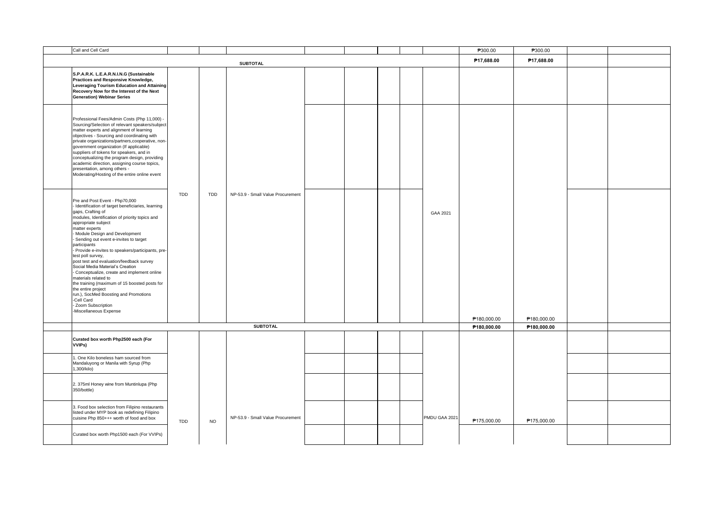| Call and Cell Card                                                                                                                                                                                                                                                                                                                                                                                                                                                                                                                                                                                                                                                                                                 |            |            |                                   |  |  |               | P300.00     | P300.00     |  |
|--------------------------------------------------------------------------------------------------------------------------------------------------------------------------------------------------------------------------------------------------------------------------------------------------------------------------------------------------------------------------------------------------------------------------------------------------------------------------------------------------------------------------------------------------------------------------------------------------------------------------------------------------------------------------------------------------------------------|------------|------------|-----------------------------------|--|--|---------------|-------------|-------------|--|
|                                                                                                                                                                                                                                                                                                                                                                                                                                                                                                                                                                                                                                                                                                                    |            |            | <b>SUBTOTAL</b>                   |  |  |               | P17,688.00  | P17.688.00  |  |
| S.P.A.R.K. L.E.A.R.N.I.N.G (Sustainable<br>Practices and Responsive Knowledge,<br>Leveraging Tourism Education and Attaining<br>Recovery Now for the Interest of the Next<br><b>Generation) Webinar Series</b>                                                                                                                                                                                                                                                                                                                                                                                                                                                                                                     |            |            |                                   |  |  |               |             |             |  |
| Professional Fees/Admin Costs (Php 11,000) -<br>Sourcing/Selection of relevant speakers/subject<br>matter experts and alignment of learning<br>objectives - Sourcing and coordinating with<br>private organizations/partners, cooperative, non-<br>government organization (If applicable)<br>suppliers of tokens for speakers, and in<br>conceptualizing the program design, providing<br>academic direction, assigning course topics,<br>presentation, among others -<br>Moderating/Hosting of the entire online event                                                                                                                                                                                           |            |            |                                   |  |  |               |             |             |  |
| Pre and Post Event - Php70,000<br>- Identification of target beneficiaries, learning<br>gaps, Crafting of<br>modules, Identification of priority topics and<br>appropriate subject<br>matter experts<br>Module Design and Development<br>- Sending out event e-invites to target<br>participants<br>- Provide e-invites to speakers/participants, pre-<br>test poll survey,<br>post test and evaluation/feedback survey<br>Social Media Material's Creation<br>- Conceptualize, create and implement online<br>materials related to<br>the training (maximum of 15 boosted posts for<br>the entire project<br>run.), SocMed Boosting and Promotions<br>-Cell Card<br>- Zoom Subscription<br>-Miscellaneous Expense | TDD        | <b>TDD</b> | NP-53.9 - Small Value Procurement |  |  | GAA 2021      | P180,000.00 | P180,000.00 |  |
|                                                                                                                                                                                                                                                                                                                                                                                                                                                                                                                                                                                                                                                                                                                    |            |            | <b>SUBTOTAL</b>                   |  |  |               | P180,000.00 | P180,000.00 |  |
| Curated box worth Php2500 each (For<br>VVIPs)                                                                                                                                                                                                                                                                                                                                                                                                                                                                                                                                                                                                                                                                      |            |            |                                   |  |  |               |             |             |  |
| 1. One Kilo boneless ham sourced from<br>Mandaluyong or Manila with Syrup (Php<br>1,300/kilo)                                                                                                                                                                                                                                                                                                                                                                                                                                                                                                                                                                                                                      |            |            |                                   |  |  |               |             |             |  |
| 2. 375ml Honey wine from Muntinlupa (Php<br>350/bottle)                                                                                                                                                                                                                                                                                                                                                                                                                                                                                                                                                                                                                                                            |            |            |                                   |  |  |               |             |             |  |
| 3. Food box selection from Filipino restaurants<br>listed under MYP book as redefining Filipino<br>cuisine Php 850+++ worth of food and box                                                                                                                                                                                                                                                                                                                                                                                                                                                                                                                                                                        | <b>TDD</b> | <b>NO</b>  | NP-53.9 - Small Value Procurement |  |  | PMDU GAA 2021 | P175,000.00 | P175,000.00 |  |
| Curated box worth Php1500 each (For VVIPs)                                                                                                                                                                                                                                                                                                                                                                                                                                                                                                                                                                                                                                                                         |            |            |                                   |  |  |               |             |             |  |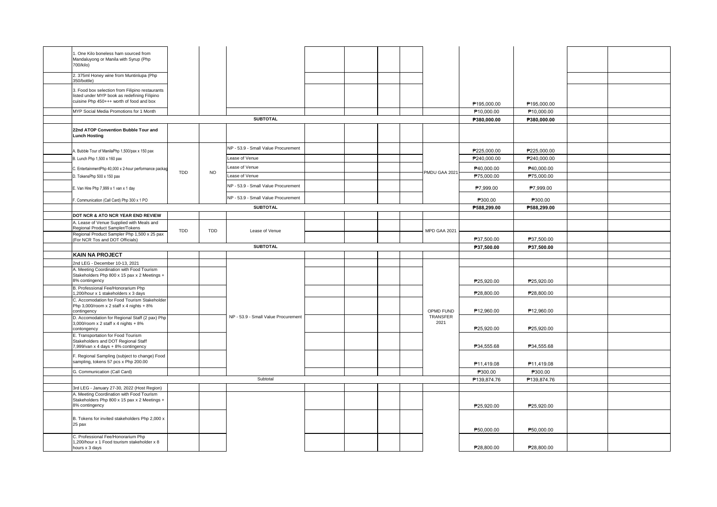| . One Kilo boneless ham sourced from<br>Mandaluyong or Manila with Syrup (Php<br>700/kilo)                  |     |           |                                     |  |  |                              |             |                        |  |
|-------------------------------------------------------------------------------------------------------------|-----|-----------|-------------------------------------|--|--|------------------------------|-------------|------------------------|--|
| 2. 375ml Honey wine from Muntinlupa (Php<br>350/bottle)                                                     |     |           |                                     |  |  |                              |             |                        |  |
| 3. Food box selection from Filipino restaurants<br>listed under MYP book as redefining Filipino             |     |           |                                     |  |  |                              |             |                        |  |
| cuisine Php 450+++ worth of food and box                                                                    |     |           |                                     |  |  |                              | P195,000.00 | P195,000.00            |  |
| MYP Social Media Promotions for 1 Month                                                                     |     |           |                                     |  |  |                              | P10,000.00  | P10,000.00             |  |
|                                                                                                             |     |           | <b>SUBTOTAL</b>                     |  |  |                              | P380,000.00 | P380,000.00            |  |
| 22nd ATOP Convention Bubble Tour and<br><b>Lunch Hosting</b>                                                |     |           |                                     |  |  |                              |             |                        |  |
| A. Bubble Tour of ManilaPhp 1,500/pax x 150 pax                                                             |     |           | NP - 53.9 - Small Value Procurement |  |  |                              | P225,000.00 | P225,000.00            |  |
| B. Lunch Php 1,500 x 160 pax                                                                                |     |           | Lease of Venue                      |  |  |                              | P240,000.00 | P240,000.00            |  |
|                                                                                                             |     |           | Lease of Venue                      |  |  |                              | P40,000.00  | P40,000.00             |  |
| C. EntertainmentPhp 40,000 x 2-hour performance packag<br>D. TokensPhp 500 x 150 pax                        | TDD | <b>NO</b> | Lease of Venue                      |  |  | PMDU GAA 2021                | P75,000.00  | P75,000.00             |  |
|                                                                                                             |     |           |                                     |  |  |                              |             |                        |  |
| E. Van Hire Php 7,999 x 1 van x 1 day                                                                       |     |           | NP - 53.9 - Small Value Procurement |  |  |                              | P7,999.00   | P7,999.00              |  |
| Communication (Call Card) Php 300 x 1 PO                                                                    |     |           | NP - 53.9 - Small Value Procurement |  |  |                              | P300.00     | P300.00                |  |
|                                                                                                             |     |           | <b>SUBTOTAL</b>                     |  |  |                              | P588,299.00 | P588,299.00            |  |
| DOT NCR & ATO NCR YEAR END REVIEW                                                                           |     |           |                                     |  |  |                              |             |                        |  |
| A. Lease of Venue Supplied with Meals and<br>Regional Product Sampler/Tokens                                | TDD | TDD       | Lease of Venue                      |  |  | MPD GAA 2021                 |             |                        |  |
| Regional Product Sampler Php 1,500 x 25 pax<br>(For NCR Tos and DOT Officials)                              |     |           |                                     |  |  |                              | P37,500.00  | P37,500.00             |  |
|                                                                                                             |     |           | <b>SUBTOTAL</b>                     |  |  |                              | P37,500.00  | P37,500.00             |  |
| <b>KAIN NA PROJECT</b>                                                                                      |     |           |                                     |  |  |                              |             |                        |  |
| 2nd LEG - December 10-13, 2021                                                                              |     |           |                                     |  |  |                              |             |                        |  |
| A. Meeting Coordination with Food Tourism<br>Stakeholders Php 800 x 15 pax x 2 Meetings +<br>8% contingency |     |           |                                     |  |  |                              | P25,920.00  | P25,920.00             |  |
| B. Professional Fee/Honorarium Php<br>1,200/hour x 1 stakeholders x 3 days                                  |     |           |                                     |  |  |                              | P28,800.00  | P28,800.00             |  |
| C. Accomodation for Food Tourism Stakeholder<br>Php $3,000$ /room x 2 staff x 4 nights + 8%                 |     |           |                                     |  |  |                              |             |                        |  |
| contingency                                                                                                 |     |           |                                     |  |  | OPMD FUND<br><b>TRANSFER</b> | P12,960.00  | P <sub>12,960.00</sub> |  |
| D. Accomodation for Regional Staff (2 pax) Php<br>3,000/room x 2 staff x 4 nights + 8%<br>contongency       |     |           | NP - 53.9 - Small Value Procurement |  |  | 2021                         | P25,920.00  | P25,920.00             |  |
| E. Transportation for Food Tourism                                                                          |     |           |                                     |  |  |                              |             |                        |  |
| Stakeholders and DOT Regional Staff<br>7,999/van x 4 days + 8% contingency                                  |     |           |                                     |  |  |                              | P34,555.68  | P34,555.68             |  |
| F. Regional Sampling (subject to change) Food<br>sampling, tokens 57 pcs x Php 200.00                       |     |           |                                     |  |  |                              | P11,419.08  | P11,419.08             |  |
| G. Communication (Call Card)                                                                                |     |           |                                     |  |  |                              | P300.00     | P300.00                |  |
|                                                                                                             |     |           | Subtotal                            |  |  |                              | P139,874.76 | P139,874.76            |  |
| 3rd LEG - January 27-30, 2022 (Host Region)                                                                 |     |           |                                     |  |  |                              |             |                        |  |
| A. Meeting Coordination with Food Tourism<br>Stakeholders Php 800 x 15 pax x 2 Meetings +<br>8% contingency |     |           |                                     |  |  |                              | P25,920.00  | P25,920.00             |  |
| B. Tokens for invited stakeholders Php 2,000 x<br>25 pax                                                    |     |           |                                     |  |  |                              |             |                        |  |
|                                                                                                             |     |           |                                     |  |  |                              | P50,000.00  | P50,000.00             |  |
| C. Professional Fee/Honorarium Php<br>1,200/hour x 1 Food tourism stakeholder x 8<br>hours x 3 days         |     |           |                                     |  |  |                              | P28,800.00  | P28,800.00             |  |
|                                                                                                             |     |           |                                     |  |  |                              |             |                        |  |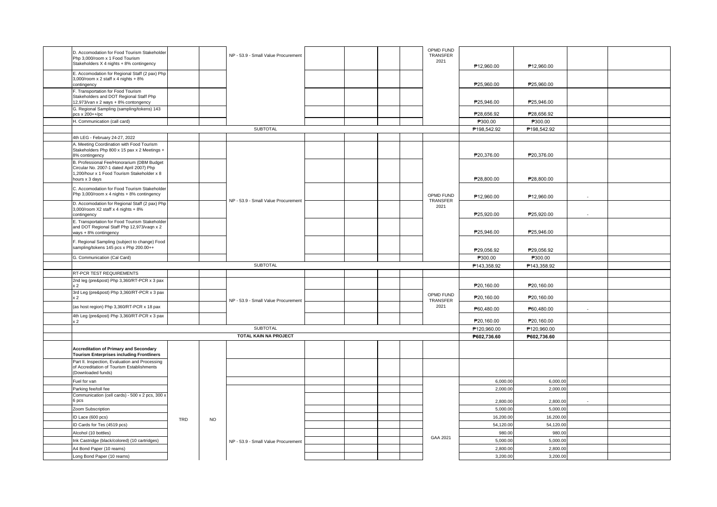| D. Accomodation for Food Tourism Stakeholder<br>Php 3.000/room x 1 Food Tourism                   |                                                                                                                                                                                                                                                                                                                                                                                                                                                                                                                                                                                                                                                                                                                                                                                                                                                             |     | NP - 53.9 - Small Value Procurement |                                                                                                                                                                                                     |  |  | OPMD FUND<br>TRANSFER |                          |                                                                                                                                                                                                                                                     |                                                                                                                                                                                                                                                     |  |
|---------------------------------------------------------------------------------------------------|-------------------------------------------------------------------------------------------------------------------------------------------------------------------------------------------------------------------------------------------------------------------------------------------------------------------------------------------------------------------------------------------------------------------------------------------------------------------------------------------------------------------------------------------------------------------------------------------------------------------------------------------------------------------------------------------------------------------------------------------------------------------------------------------------------------------------------------------------------------|-----|-------------------------------------|-----------------------------------------------------------------------------------------------------------------------------------------------------------------------------------------------------|--|--|-----------------------|--------------------------|-----------------------------------------------------------------------------------------------------------------------------------------------------------------------------------------------------------------------------------------------------|-----------------------------------------------------------------------------------------------------------------------------------------------------------------------------------------------------------------------------------------------------|--|
| Stakeholders X 4 nights + 8% contingency                                                          |                                                                                                                                                                                                                                                                                                                                                                                                                                                                                                                                                                                                                                                                                                                                                                                                                                                             |     |                                     |                                                                                                                                                                                                     |  |  |                       | P12.960.00               | P12.960.00                                                                                                                                                                                                                                          |                                                                                                                                                                                                                                                     |  |
| E. Accomodation for Regional Staff (2 pax) Php                                                    |                                                                                                                                                                                                                                                                                                                                                                                                                                                                                                                                                                                                                                                                                                                                                                                                                                                             |     |                                     |                                                                                                                                                                                                     |  |  |                       |                          |                                                                                                                                                                                                                                                     |                                                                                                                                                                                                                                                     |  |
| contingency                                                                                       |                                                                                                                                                                                                                                                                                                                                                                                                                                                                                                                                                                                                                                                                                                                                                                                                                                                             |     |                                     |                                                                                                                                                                                                     |  |  |                       | P25,960.00               | P25,960.00                                                                                                                                                                                                                                          |                                                                                                                                                                                                                                                     |  |
| . Transportation for Food Tourism                                                                 |                                                                                                                                                                                                                                                                                                                                                                                                                                                                                                                                                                                                                                                                                                                                                                                                                                                             |     |                                     |                                                                                                                                                                                                     |  |  |                       |                          |                                                                                                                                                                                                                                                     |                                                                                                                                                                                                                                                     |  |
|                                                                                                   |                                                                                                                                                                                                                                                                                                                                                                                                                                                                                                                                                                                                                                                                                                                                                                                                                                                             |     |                                     |                                                                                                                                                                                                     |  |  |                       |                          |                                                                                                                                                                                                                                                     |                                                                                                                                                                                                                                                     |  |
| G. Regional Sampling (sampling/tokens) 143                                                        |                                                                                                                                                                                                                                                                                                                                                                                                                                                                                                                                                                                                                                                                                                                                                                                                                                                             |     |                                     |                                                                                                                                                                                                     |  |  |                       |                          |                                                                                                                                                                                                                                                     |                                                                                                                                                                                                                                                     |  |
|                                                                                                   |                                                                                                                                                                                                                                                                                                                                                                                                                                                                                                                                                                                                                                                                                                                                                                                                                                                             |     |                                     |                                                                                                                                                                                                     |  |  |                       |                          |                                                                                                                                                                                                                                                     |                                                                                                                                                                                                                                                     |  |
|                                                                                                   |                                                                                                                                                                                                                                                                                                                                                                                                                                                                                                                                                                                                                                                                                                                                                                                                                                                             |     |                                     |                                                                                                                                                                                                     |  |  |                       |                          |                                                                                                                                                                                                                                                     |                                                                                                                                                                                                                                                     |  |
|                                                                                                   |                                                                                                                                                                                                                                                                                                                                                                                                                                                                                                                                                                                                                                                                                                                                                                                                                                                             |     |                                     |                                                                                                                                                                                                     |  |  |                       |                          |                                                                                                                                                                                                                                                     |                                                                                                                                                                                                                                                     |  |
| A. Meeting Coordination with Food Tourism                                                         |                                                                                                                                                                                                                                                                                                                                                                                                                                                                                                                                                                                                                                                                                                                                                                                                                                                             |     |                                     |                                                                                                                                                                                                     |  |  |                       |                          |                                                                                                                                                                                                                                                     |                                                                                                                                                                                                                                                     |  |
| Stakeholders Php 800 x 15 pax x 2 Meetings +                                                      |                                                                                                                                                                                                                                                                                                                                                                                                                                                                                                                                                                                                                                                                                                                                                                                                                                                             |     |                                     |                                                                                                                                                                                                     |  |  |                       |                          |                                                                                                                                                                                                                                                     |                                                                                                                                                                                                                                                     |  |
|                                                                                                   |                                                                                                                                                                                                                                                                                                                                                                                                                                                                                                                                                                                                                                                                                                                                                                                                                                                             |     |                                     |                                                                                                                                                                                                     |  |  |                       |                          |                                                                                                                                                                                                                                                     |                                                                                                                                                                                                                                                     |  |
| Circular No. 2007-1 dated April 2007) Php                                                         |                                                                                                                                                                                                                                                                                                                                                                                                                                                                                                                                                                                                                                                                                                                                                                                                                                                             |     |                                     |                                                                                                                                                                                                     |  |  |                       |                          |                                                                                                                                                                                                                                                     |                                                                                                                                                                                                                                                     |  |
|                                                                                                   |                                                                                                                                                                                                                                                                                                                                                                                                                                                                                                                                                                                                                                                                                                                                                                                                                                                             |     |                                     |                                                                                                                                                                                                     |  |  |                       |                          |                                                                                                                                                                                                                                                     |                                                                                                                                                                                                                                                     |  |
|                                                                                                   |                                                                                                                                                                                                                                                                                                                                                                                                                                                                                                                                                                                                                                                                                                                                                                                                                                                             |     |                                     |                                                                                                                                                                                                     |  |  |                       |                          |                                                                                                                                                                                                                                                     |                                                                                                                                                                                                                                                     |  |
| Php 3,000/room x 4 nights + 8% contingency                                                        |                                                                                                                                                                                                                                                                                                                                                                                                                                                                                                                                                                                                                                                                                                                                                                                                                                                             |     |                                     |                                                                                                                                                                                                     |  |  | OPMD FUND             |                          |                                                                                                                                                                                                                                                     | ÷.<br>$\sim$<br>$\sim$                                                                                                                                                                                                                              |  |
|                                                                                                   |                                                                                                                                                                                                                                                                                                                                                                                                                                                                                                                                                                                                                                                                                                                                                                                                                                                             |     |                                     |                                                                                                                                                                                                     |  |  | TRANSFER              |                          |                                                                                                                                                                                                                                                     |                                                                                                                                                                                                                                                     |  |
| 3,000/room X2 staff x 4 nights + 8%                                                               |                                                                                                                                                                                                                                                                                                                                                                                                                                                                                                                                                                                                                                                                                                                                                                                                                                                             |     |                                     |                                                                                                                                                                                                     |  |  |                       |                          |                                                                                                                                                                                                                                                     |                                                                                                                                                                                                                                                     |  |
|                                                                                                   |                                                                                                                                                                                                                                                                                                                                                                                                                                                                                                                                                                                                                                                                                                                                                                                                                                                             |     |                                     |                                                                                                                                                                                                     |  |  |                       |                          |                                                                                                                                                                                                                                                     |                                                                                                                                                                                                                                                     |  |
|                                                                                                   |                                                                                                                                                                                                                                                                                                                                                                                                                                                                                                                                                                                                                                                                                                                                                                                                                                                             |     |                                     |                                                                                                                                                                                                     |  |  |                       |                          |                                                                                                                                                                                                                                                     |                                                                                                                                                                                                                                                     |  |
| ways + 8% contingency                                                                             |                                                                                                                                                                                                                                                                                                                                                                                                                                                                                                                                                                                                                                                                                                                                                                                                                                                             |     |                                     |                                                                                                                                                                                                     |  |  |                       |                          |                                                                                                                                                                                                                                                     |                                                                                                                                                                                                                                                     |  |
| F. Regional Sampling (subject to change) Food                                                     |                                                                                                                                                                                                                                                                                                                                                                                                                                                                                                                                                                                                                                                                                                                                                                                                                                                             |     |                                     |                                                                                                                                                                                                     |  |  |                       |                          |                                                                                                                                                                                                                                                     |                                                                                                                                                                                                                                                     |  |
|                                                                                                   |                                                                                                                                                                                                                                                                                                                                                                                                                                                                                                                                                                                                                                                                                                                                                                                                                                                             |     |                                     |                                                                                                                                                                                                     |  |  |                       | P29,056.92               | P29,056.92                                                                                                                                                                                                                                          |                                                                                                                                                                                                                                                     |  |
| G. Communication (Cal Card)                                                                       |                                                                                                                                                                                                                                                                                                                                                                                                                                                                                                                                                                                                                                                                                                                                                                                                                                                             |     |                                     |                                                                                                                                                                                                     |  |  |                       | P300.00                  | P300.00                                                                                                                                                                                                                                             |                                                                                                                                                                                                                                                     |  |
|                                                                                                   |                                                                                                                                                                                                                                                                                                                                                                                                                                                                                                                                                                                                                                                                                                                                                                                                                                                             |     |                                     |                                                                                                                                                                                                     |  |  |                       |                          |                                                                                                                                                                                                                                                     |                                                                                                                                                                                                                                                     |  |
|                                                                                                   |                                                                                                                                                                                                                                                                                                                                                                                                                                                                                                                                                                                                                                                                                                                                                                                                                                                             |     |                                     |                                                                                                                                                                                                     |  |  |                       |                          |                                                                                                                                                                                                                                                     |                                                                                                                                                                                                                                                     |  |
|                                                                                                   |                                                                                                                                                                                                                                                                                                                                                                                                                                                                                                                                                                                                                                                                                                                                                                                                                                                             |     |                                     |                                                                                                                                                                                                     |  |  |                       | P20,160.00               | P20,160.00                                                                                                                                                                                                                                          |                                                                                                                                                                                                                                                     |  |
|                                                                                                   |                                                                                                                                                                                                                                                                                                                                                                                                                                                                                                                                                                                                                                                                                                                                                                                                                                                             |     |                                     |                                                                                                                                                                                                     |  |  | OPMD FUND             | P20,160.00               | P20,160.00                                                                                                                                                                                                                                          |                                                                                                                                                                                                                                                     |  |
| (as host region) Php 3,360/RT-PCR x 18 pax                                                        |                                                                                                                                                                                                                                                                                                                                                                                                                                                                                                                                                                                                                                                                                                                                                                                                                                                             |     |                                     |                                                                                                                                                                                                     |  |  | 2021                  |                          |                                                                                                                                                                                                                                                     |                                                                                                                                                                                                                                                     |  |
| 4th Leg (pre&post) Php 3,360/RT-PCR x 3 pax                                                       |                                                                                                                                                                                                                                                                                                                                                                                                                                                                                                                                                                                                                                                                                                                                                                                                                                                             |     |                                     |                                                                                                                                                                                                     |  |  |                       |                          |                                                                                                                                                                                                                                                     |                                                                                                                                                                                                                                                     |  |
|                                                                                                   |                                                                                                                                                                                                                                                                                                                                                                                                                                                                                                                                                                                                                                                                                                                                                                                                                                                             |     |                                     |                                                                                                                                                                                                     |  |  |                       |                          |                                                                                                                                                                                                                                                     |                                                                                                                                                                                                                                                     |  |
|                                                                                                   |                                                                                                                                                                                                                                                                                                                                                                                                                                                                                                                                                                                                                                                                                                                                                                                                                                                             |     |                                     |                                                                                                                                                                                                     |  |  |                       |                          |                                                                                                                                                                                                                                                     |                                                                                                                                                                                                                                                     |  |
|                                                                                                   |                                                                                                                                                                                                                                                                                                                                                                                                                                                                                                                                                                                                                                                                                                                                                                                                                                                             |     |                                     |                                                                                                                                                                                                     |  |  |                       |                          |                                                                                                                                                                                                                                                     |                                                                                                                                                                                                                                                     |  |
| <b>Accreditation of Primary and Secondary</b><br><b>Tourism Enterprises including Frontliners</b> |                                                                                                                                                                                                                                                                                                                                                                                                                                                                                                                                                                                                                                                                                                                                                                                                                                                             |     |                                     |                                                                                                                                                                                                     |  |  |                       |                          |                                                                                                                                                                                                                                                     |                                                                                                                                                                                                                                                     |  |
| Part II. Inspection, Evaluation and Processing                                                    |                                                                                                                                                                                                                                                                                                                                                                                                                                                                                                                                                                                                                                                                                                                                                                                                                                                             |     |                                     |                                                                                                                                                                                                     |  |  |                       |                          |                                                                                                                                                                                                                                                     |                                                                                                                                                                                                                                                     |  |
| (Downloaded funds)                                                                                |                                                                                                                                                                                                                                                                                                                                                                                                                                                                                                                                                                                                                                                                                                                                                                                                                                                             |     |                                     |                                                                                                                                                                                                     |  |  |                       |                          |                                                                                                                                                                                                                                                     |                                                                                                                                                                                                                                                     |  |
| Fuel for van                                                                                      |                                                                                                                                                                                                                                                                                                                                                                                                                                                                                                                                                                                                                                                                                                                                                                                                                                                             |     |                                     |                                                                                                                                                                                                     |  |  |                       | 6,000.00                 | 6,000.00                                                                                                                                                                                                                                            |                                                                                                                                                                                                                                                     |  |
| Parking fee/toll fee                                                                              |                                                                                                                                                                                                                                                                                                                                                                                                                                                                                                                                                                                                                                                                                                                                                                                                                                                             |     |                                     |                                                                                                                                                                                                     |  |  |                       | 2,000.00                 | 2,000.00                                                                                                                                                                                                                                            |                                                                                                                                                                                                                                                     |  |
| Communication (cell cards) - 500 x 2 pcs, 300 x                                                   |                                                                                                                                                                                                                                                                                                                                                                                                                                                                                                                                                                                                                                                                                                                                                                                                                                                             |     |                                     |                                                                                                                                                                                                     |  |  |                       |                          |                                                                                                                                                                                                                                                     |                                                                                                                                                                                                                                                     |  |
|                                                                                                   |                                                                                                                                                                                                                                                                                                                                                                                                                                                                                                                                                                                                                                                                                                                                                                                                                                                             |     |                                     |                                                                                                                                                                                                     |  |  |                       |                          |                                                                                                                                                                                                                                                     |                                                                                                                                                                                                                                                     |  |
|                                                                                                   |                                                                                                                                                                                                                                                                                                                                                                                                                                                                                                                                                                                                                                                                                                                                                                                                                                                             |     |                                     |                                                                                                                                                                                                     |  |  |                       |                          |                                                                                                                                                                                                                                                     |                                                                                                                                                                                                                                                     |  |
|                                                                                                   |                                                                                                                                                                                                                                                                                                                                                                                                                                                                                                                                                                                                                                                                                                                                                                                                                                                             |     |                                     |                                                                                                                                                                                                     |  |  |                       |                          |                                                                                                                                                                                                                                                     |                                                                                                                                                                                                                                                     |  |
| Alcohol (10 bottles)                                                                              |                                                                                                                                                                                                                                                                                                                                                                                                                                                                                                                                                                                                                                                                                                                                                                                                                                                             |     |                                     |                                                                                                                                                                                                     |  |  |                       | 980.00                   | 980.00                                                                                                                                                                                                                                              |                                                                                                                                                                                                                                                     |  |
| Ink Castridge (black/colored) (10 cartridges)                                                     |                                                                                                                                                                                                                                                                                                                                                                                                                                                                                                                                                                                                                                                                                                                                                                                                                                                             |     |                                     |                                                                                                                                                                                                     |  |  | GAA 2021              | 5,000.00                 | 5,000.00                                                                                                                                                                                                                                            |                                                                                                                                                                                                                                                     |  |
| A4 Bond Paper (10 reams)                                                                          |                                                                                                                                                                                                                                                                                                                                                                                                                                                                                                                                                                                                                                                                                                                                                                                                                                                             |     |                                     |                                                                                                                                                                                                     |  |  |                       | 2,800.00                 | 2,800.00                                                                                                                                                                                                                                            |                                                                                                                                                                                                                                                     |  |
|                                                                                                   |                                                                                                                                                                                                                                                                                                                                                                                                                                                                                                                                                                                                                                                                                                                                                                                                                                                             |     |                                     |                                                                                                                                                                                                     |  |  |                       |                          |                                                                                                                                                                                                                                                     |                                                                                                                                                                                                                                                     |  |
|                                                                                                   | $3,000$ /room x 2 staff x 4 nights + 8%<br>Stakeholders and DOT Regional Staff Php<br>12,973/van x 2 ways + 8% contongency<br>pcs x 200++/pc<br>H. Communication (call card)<br>4th LEG - February 24-27, 2022<br>8% contingency<br>B. Professional Fee/Honorarium (DBM Budget<br>1,200/hour x 1 Food Tourism Stakeholder x 8<br>hours x 3 days<br>C. Accomodation for Food Tourism Stakeholder<br>D. Accomodation for Regional Staff (2 pax) Php<br>contingency<br>E. Transportation for Food Tourism Stakeholder<br>and DOT Regional Staff Php 12,973/vaqn x 2<br>sampling/tokens 145 pcs x Php 200.00++<br>RT-PCR TEST REQUIREMENTS<br>2nd leg (pre&post) Php 3,360/RT-PCR x 3 pax<br>3rd Leg (pre&post) Php 3,360/RT-PCR x 3 pax<br>of Accreditation of Tourism Establishments<br>Zoom Subscription<br>ID Lace (600 pcs)<br>ID Cards for Tes (4519 pcs) | TRD | <b>NO</b>                           | <b>SUBTOTAL</b><br>NP - 53.9 - Small Value Procurement<br><b>SUBTOTAL</b><br>NP - 53.9 - Small Value Procurement<br><b>SUBTOTAL</b><br>TOTAL KAIN NA PROJECT<br>NP - 53.9 - Small Value Procurement |  |  |                       | 2021<br>2021<br>TRANSFER | P25,946.00<br>P28,656.92<br>P300.00<br>P198,542.92<br>P20,376.00<br>P28,800.00<br>P12,960.00<br>P25,920.00<br>P25,946.00<br>P143,358.92<br>P60,480.00<br>P20,160.00<br>P120,960.00<br>P602,736.60<br>2,800.00<br>5,000.00<br>16,200.00<br>54,120.00 | P25,946.00<br>P28,656.92<br>P300.00<br>P198,542.92<br>P20,376.00<br>P28,800.00<br>P12,960.00<br>P25,920.00<br>P25,946.00<br>P143,358.92<br>P60,480.00<br>P20,160.00<br>P120,960.00<br>P602,736.60<br>2,800.00<br>5,000.00<br>16,200.00<br>54,120.00 |  |